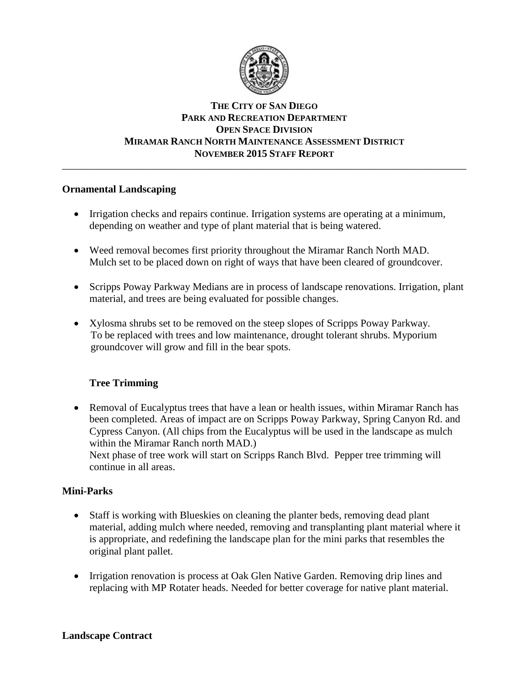

## **THE CITY OF SAN DIEGO PARK AND RECREATION DEPARTMENT OPEN SPACE DIVISION MIRAMAR RANCH NORTH MAINTENANCE ASSESSMENT DISTRICT NOVEMBER 2015 STAFF REPORT** \_\_\_\_\_\_\_\_\_\_\_\_\_\_\_\_\_\_\_\_\_\_\_\_\_\_\_\_\_\_\_\_\_\_\_\_\_\_\_\_\_\_\_\_\_\_\_\_\_\_\_\_\_\_\_\_\_\_\_\_\_\_\_\_\_\_\_\_\_\_\_\_\_\_\_\_\_\_

## **Ornamental Landscaping**

- Irrigation checks and repairs continue. Irrigation systems are operating at a minimum, depending on weather and type of plant material that is being watered.
- Weed removal becomes first priority throughout the Miramar Ranch North MAD. Mulch set to be placed down on right of ways that have been cleared of groundcover.
- Scripps Poway Parkway Medians are in process of landscape renovations. Irrigation, plant material, and trees are being evaluated for possible changes.
- Xylosma shrubs set to be removed on the steep slopes of Scripps Poway Parkway. To be replaced with trees and low maintenance, drought tolerant shrubs. Myporium groundcover will grow and fill in the bear spots.

## **Tree Trimming**

• Removal of Eucalyptus trees that have a lean or health issues, within Miramar Ranch has been completed. Areas of impact are on Scripps Poway Parkway, Spring Canyon Rd. and Cypress Canyon. (All chips from the Eucalyptus will be used in the landscape as mulch within the Miramar Ranch north MAD.) Next phase of tree work will start on Scripps Ranch Blvd. Pepper tree trimming will continue in all areas.

## **Mini-Parks**

- Staff is working with Blueskies on cleaning the planter beds, removing dead plant material, adding mulch where needed, removing and transplanting plant material where it is appropriate, and redefining the landscape plan for the mini parks that resembles the original plant pallet.
- Irrigation renovation is process at Oak Glen Native Garden. Removing drip lines and replacing with MP Rotater heads. Needed for better coverage for native plant material.